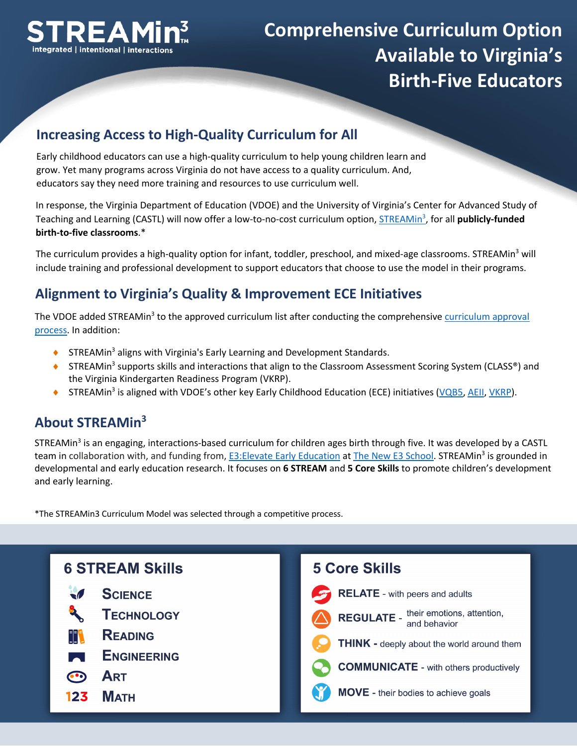

# **Comprehensive Curriculum Option Available to Virginia's Birth-Five Educators**

### **Increasing Access to High-Quality Curriculum for All**

Early childhood educators can use a high-quality curriculum to help young children learn and grow. Yet many programs across Virginia do not have access to a quality curriculum. And, educators say they need more training and resources to use curriculum well.

In response, the Virginia Department of Education (VDOE) and the University of Virginia's Center for Advanced Study of Teaching and Learning (CASTL) will now offer a low-to-no-cost curriculum option, **STREAMin<sup>3</sup>, for all publicly-funded birth-to-five classrooms**.\*

The curriculum provides a high-quality option for infant, toddler, preschool, and mixed-age classrooms. STREAMin<sup>3</sup> will include training and professional development to support educators that choose to use the model in their programs.

### **Alignment to Virginia's Quality & Improvement ECE Initiatives**

The VDOE added STREAMin<sup>3</sup> to the approved curriculum list after conducting the comprehensive [curriculum approval](https://www.doe.virginia.gov/early-childhood/curriculum/index.shtml) [process](https://www.doe.virginia.gov/early-childhood/curriculum/index.shtml). In addition:

- $\blacklozenge$  STREAMin<sup>3</sup> aligns with Virginia's Early Learning and Development Standards.
- ◆ STREAMin<sup>3</sup> supports skills and interactions that align to the Classroom Assessment Scoring System (CLASS<sup>®</sup>) and the Virginia Kindergarten Readiness Program (VKRP).
- ◆ STREAMin<sup>3</sup> is aligned with VDOE's other key Early Childhood Education (ECE) initiatives [\(VQB5](https://www.doe.virginia.gov/early-childhood/build-unified-early-childhood-system/index.shtml), [AEII](https://aeiionline.org/), [VKRP](https://vkrponline.org/)[\).](https://www.doe.virginia.gov/early-childhood/curriculum/index.shtml)

### **About STREAMin3**

STREAMin<sup>3</sup> is an engaging, interactions-based curriculum for children ages birth through five. It was developed by a CASTL team in collaboration with, and funding from, E3: Elevate Early Education at [The New E3 School](https://www.newe3school.org/). STREAMin<sup>3</sup> is grounded in developmental and early education research. It focuses on **6 STREAM** and **5 Core Skills** to promote children's development and early learning.

**COMPREHENSIVE AND EXPERT-LED**  \*The STREAMin3 Curriculum Model was selected through a competitive process.